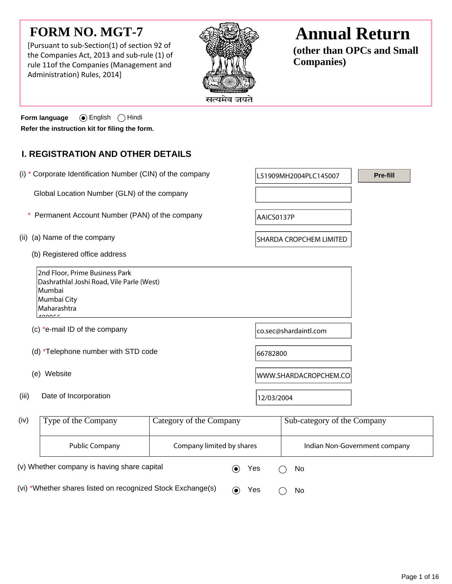# **FORM NO. MGT-7**

[Pursuant to sub-Section(1) of section 92 of the Companies Act, 2013 and sub-rule (1) of rule 11of the Companies (Management and Administration) Rules, 2014]



# **Annual Return**

**(other than OPCs and Small Companies)**

**Form language** (a) English  $\bigcap$  Hindi **Refer the instruction kit for filing the form.**

### **I. REGISTRATION AND OTHER DETAILS**

(i)  $*$  Corporate Identification Number (CIN) of the company  $\vert$  L51909MH2004PLC145007 Global Location Number (GLN) of the company (ii) (a) Name of the company SHARDA CROPCHEM LIMITED (b) Registered office address 2nd Floor, Prime Business Park Dashrathlal Joshi Road, Vile Parle (West) Mumbai Mumbai City Maharashtra  $400055$ (c)  $*$ e-mail ID of the company co.sec@shardaintl.com (d)  $*$ Telephone number with STD code  $66782800$ (e) Website Website Website WWW.SHARDACROPCHEM.CO (iii) Date of Incorporation  $12/03/2004$ Type of the Company Category of the Company Sub-category of the Company Public Company Theory Company limited by shares Theory Indian Non-Government company (iv) **Pre-fill** \* Permanent Account Number (PAN) of the company  $AACS0137P$ 

(v) Whether company is having share capital  $\bullet$  Yes  $\circ$  No (vi) \*Whether shares listed on recognized Stock Exchange(s)  $\qquad \qquad \bullet \qquad$  Yes  $\qquad \bigcirc \quad$  No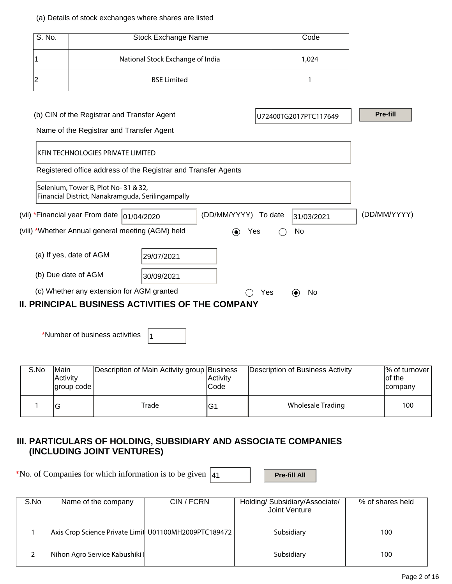#### (a) Details of stock exchanges where shares are listed

| S. No.                               | <b>Stock Exchange Name</b>                                                              | Code                  |                 |
|--------------------------------------|-----------------------------------------------------------------------------------------|-----------------------|-----------------|
|                                      | National Stock Exchange of India                                                        | 1,024                 |                 |
| າ                                    | <b>BSE Limited</b>                                                                      |                       |                 |
|                                      | (b) CIN of the Registrar and Transfer Agent<br>Name of the Registrar and Transfer Agent | U72400TG2017PTC117649 | <b>Pre-fill</b> |
|                                      | KFIN TECHNOLOGIES PRIVATE LIMITED                                                       |                       |                 |
|                                      | Registered office address of the Registrar and Transfer Agents                          |                       |                 |
| Selenium, Tower B, Plot No- 31 & 32, |                                                                                         |                       |                 |

| $5$ CICHIGHT, TO WCLD, THOU TVO $51 \alpha 52$<br>Financial District, Nanakramguda, Serilingampally  |            |                                       |              |
|------------------------------------------------------------------------------------------------------|------------|---------------------------------------|--------------|
| (vii) *Financial year From date  01/04/2020                                                          |            | (DD/MM/YYYY) To date<br>31/03/2021    | (DD/MM/YYYY) |
| (viii) *Whether Annual general meeting (AGM) held                                                    |            | Yes<br>No<br>$\left( \bullet \right)$ |              |
| (a) If yes, date of AGM                                                                              | 29/07/2021 |                                       |              |
| (b) Due date of AGM                                                                                  | 30/09/2021 |                                       |              |
| (c) Whether any extension for AGM granted<br><b>II. PRINCIPAL BUSINESS ACTIVITIES OF THE COMPANY</b> |            | No.<br>Yes<br>(●)                     |              |
|                                                                                                      |            |                                       |              |

\*Number of business activities  $\vert_1$ 

| S.No | lMain<br><b>Activity</b><br> group code | Description of Main Activity group Business | Activity<br><b>Code</b> | Description of Business Activity | % of turnover<br>lof the<br>company |
|------|-----------------------------------------|---------------------------------------------|-------------------------|----------------------------------|-------------------------------------|
|      | v                                       | Trade                                       | IG1                     | Wholesale Trading                | 100                                 |

### **III. PARTICULARS OF HOLDING, SUBSIDIARY AND ASSOCIATE COMPANIES (INCLUDING JOINT VENTURES)**

\*No. of Companies for which information is to be given  $\vert$ 41 **Pre-fill All** 

| S.No | Name of the company                                   | CIN / FCRN | Holding/ Subsidiary/Associate/<br>Joint Venture | % of shares held |
|------|-------------------------------------------------------|------------|-------------------------------------------------|------------------|
|      | Axis Crop Science Private Limit U01100MH2009PTC189472 |            | Subsidiary                                      | 100              |
|      | Nihon Agro Service Kabushiki                          |            | Subsidiary                                      | 100              |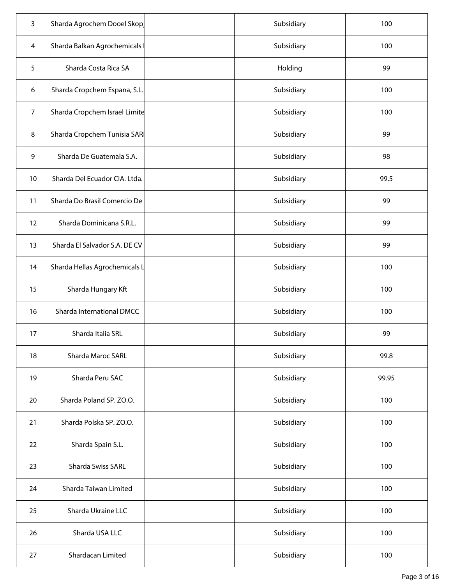| $\overline{3}$ | Sharda Agrochem Dooel Skopj   | Subsidiary | 100   |
|----------------|-------------------------------|------------|-------|
| 4              | Sharda Balkan Agrochemicals   | Subsidiary | 100   |
| 5              | Sharda Costa Rica SA          | Holding    | 99    |
| 6              | Sharda Cropchem Espana, S.L.  | Subsidiary | 100   |
| $\overline{7}$ | Sharda Cropchem Israel Limite | Subsidiary | 100   |
| 8              | Sharda Cropchem Tunisia SAR   | Subsidiary | 99    |
| 9              | Sharda De Guatemala S.A.      | Subsidiary | 98    |
| 10             | Sharda Del Ecuador CIA. Ltda. | Subsidiary | 99.5  |
| 11             | Sharda Do Brasil Comercio De  | Subsidiary | 99    |
| 12             | Sharda Dominicana S.R.L.      | Subsidiary | 99    |
| 13             | Sharda El Salvador S.A. DE CV | Subsidiary | 99    |
| 14             | Sharda Hellas Agrochemicals L | Subsidiary | 100   |
| 15             | Sharda Hungary Kft            | Subsidiary | 100   |
| 16             | Sharda International DMCC     | Subsidiary | 100   |
| 17             | Sharda Italia SRL             | Subsidiary | 99    |
| 18             | Sharda Maroc SARL             | Subsidiary | 99.8  |
| 19             | Sharda Peru SAC               | Subsidiary | 99.95 |
| 20             | Sharda Poland SP. ZO.O.       | Subsidiary | 100   |
| 21             | Sharda Polska SP. ZO.O.       | Subsidiary | 100   |
| 22             | Sharda Spain S.L.             | Subsidiary | 100   |
| 23             | Sharda Swiss SARL             | Subsidiary | 100   |
| 24             | Sharda Taiwan Limited         | Subsidiary | 100   |
| 25             | Sharda Ukraine LLC            | Subsidiary | 100   |
| 26             | Sharda USA LLC                | Subsidiary | 100   |
| 27             | Shardacan Limited             | Subsidiary | 100   |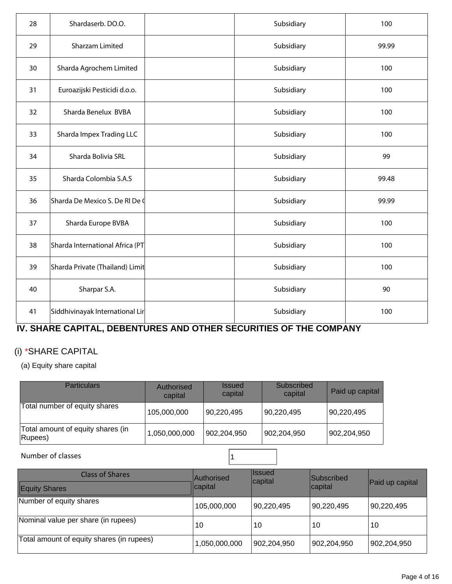| 28 | Shardaserb. DO.O.               | Subsidiary | 100   |
|----|---------------------------------|------------|-------|
| 29 | <b>Sharzam Limited</b>          | Subsidiary | 99.99 |
| 30 | Sharda Agrochem Limited         | Subsidiary | 100   |
| 31 | Euroazijski Pesticidi d.o.o.    | Subsidiary | 100   |
| 32 | Sharda Benelux BVBA             | Subsidiary | 100   |
| 33 | Sharda Impex Trading LLC        | Subsidiary | 100   |
| 34 | Sharda Bolivia SRL              | Subsidiary | 99    |
| 35 | Sharda Colombia S.A.S           | Subsidiary | 99.48 |
| 36 | Sharda De Mexico S. De RI De (  | Subsidiary | 99.99 |
| 37 | Sharda Europe BVBA              | Subsidiary | 100   |
| 38 | Sharda International Africa (PT | Subsidiary | 100   |
| 39 | Sharda Private (Thailand) Limit | Subsidiary | 100   |
| 40 | Sharpar S.A.                    | Subsidiary | 90    |
| 41 | Siddhivinayak International Lir | Subsidiary | 100   |

# **IV. SHARE CAPITAL, DEBENTURES AND OTHER SECURITIES OF THE COMPANY**

## (i) \*SHARE CAPITAL

(a) Equity share capital

| <b>Particulars</b>                           | Authorised<br>capital | <i><b>Issued</b></i><br>capital | Subscribed<br>capital | Paid up capital |
|----------------------------------------------|-----------------------|---------------------------------|-----------------------|-----------------|
| Total number of equity shares                | 105,000,000           | 90,220,495                      | 90,220,495            | 90,220,495      |
| Total amount of equity shares (in<br>Rupees) | 1,050,000,000         | 902,204,950                     | 902,204,950           | 902,204,950     |

### Number of classes and the set of classes and the set of classes and the set of  $\frac{1}{1}$

| <b>Class of Shares</b><br><b>Equity Shares</b> | <b>Authorised</b><br>capital | <b>Ilssued</b><br>capital | <b>Subscribed</b><br>capital | Paid up capital |
|------------------------------------------------|------------------------------|---------------------------|------------------------------|-----------------|
| Number of equity shares                        | 105,000,000                  | 90,220,495                | 90,220,495                   | 90,220,495      |
| Nominal value per share (in rupees)            | 10                           | 10                        | 10                           | 10              |
| Total amount of equity shares (in rupees)      | 1,050,000,000                | 902,204,950               | 902,204,950                  | 902,204,950     |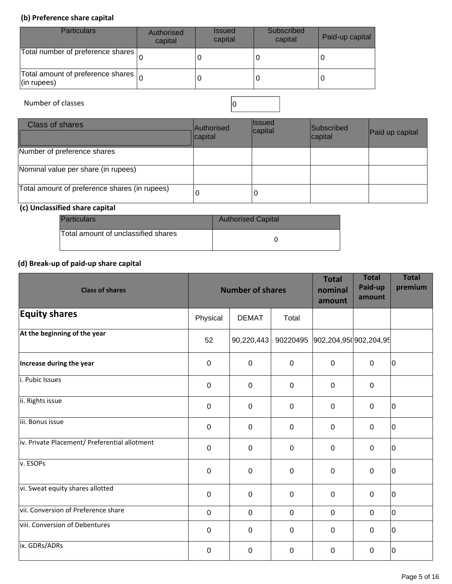### **(b) Preference share capital**

| <b>Particulars</b>                                                | Authorised<br>capital | <b>Issued</b><br>capital | Subscribed<br>capital | Paid-up capital |
|-------------------------------------------------------------------|-----------------------|--------------------------|-----------------------|-----------------|
| Total number of preference shares                                 |                       |                          |                       |                 |
| Total amount of preference shares $\vert_{\Omega}$<br>(in rupees) |                       |                          |                       |                 |

Number of classes  $\Big|0\Big|$ 

| <b>Class of shares</b>                        | Authorised<br>capital | <b>Issued</b><br>capital | Subscribed<br>capital | Paid up capital |
|-----------------------------------------------|-----------------------|--------------------------|-----------------------|-----------------|
| Number of preference shares                   |                       |                          |                       |                 |
| Nominal value per share (in rupees)           |                       |                          |                       |                 |
| Total amount of preference shares (in rupees) | U                     |                          |                       |                 |

### **(c) Unclassified share capital**

| <b>Particulars</b>                  | <b>Authorised Capital</b> |
|-------------------------------------|---------------------------|
| Total amount of unclassified shares |                           |

### **(d) Break-up of paid-up share capital**

| <b>Class of shares</b>                        |                  | <b>Number of shares</b> |             | <b>Total</b><br>nominal<br>amount | <b>Total</b><br>Paid-up<br>amount | <b>Total</b><br>premium |
|-----------------------------------------------|------------------|-------------------------|-------------|-----------------------------------|-----------------------------------|-------------------------|
| <b>Equity shares</b>                          | Physical         | <b>DEMAT</b>            | Total       |                                   |                                   |                         |
| At the beginning of the year                  | 52               | 90,220,443              |             | 90220495 902,204,95(902,204,95)   |                                   |                         |
| Increase during the year                      | $\overline{0}$   | $\mathbf{0}$            | $\mathbf 0$ | $\overline{0}$                    | $\overline{0}$                    | 10                      |
| i. Pubic Issues                               | $\mathbf 0$      | $\mathbf{0}$            | $\mathbf 0$ | $\Omega$                          | $\mathbf 0$                       |                         |
| ii. Rights issue                              | $\mathbf 0$      | 0                       | $\mathbf 0$ | $\mathbf 0$                       | $\mathbf 0$                       | 10                      |
| iii. Bonus issue                              | $\boldsymbol{0}$ | $\mathbf 0$             | $\pmb{0}$   | $\mathbf 0$                       | $\mathbf 0$                       | 10                      |
| iv. Private Placement/ Preferential allotment | $\overline{0}$   | 0                       | $\mathbf 0$ | $\mathbf 0$                       | $\mathbf 0$                       | 10                      |
| v. ESOPS                                      | 0                | 0                       | $\mathbf 0$ | $\mathbf 0$                       | $\mathbf 0$                       | 10                      |
| vi. Sweat equity shares allotted              | $\mathbf 0$      | 0                       | $\mathbf 0$ | $\mathbf 0$                       | $\mathbf 0$                       | 10                      |
| vii. Conversion of Preference share           | $\boldsymbol{0}$ | $\mathbf 0$             | $\mathbf 0$ | $\mathbf 0$                       | $\mathbf 0$                       | lo                      |
| viii. Conversion of Debentures                | $\overline{0}$   | 0                       | $\mathbf 0$ | $\mathbf 0$                       | $\pmb{0}$                         | 10                      |
| ix. GDRs/ADRs                                 | $\boldsymbol{0}$ | $\mathbf 0$             | $\mathbf 0$ | $\mathbf 0$                       | $\pmb{0}$                         | ١o                      |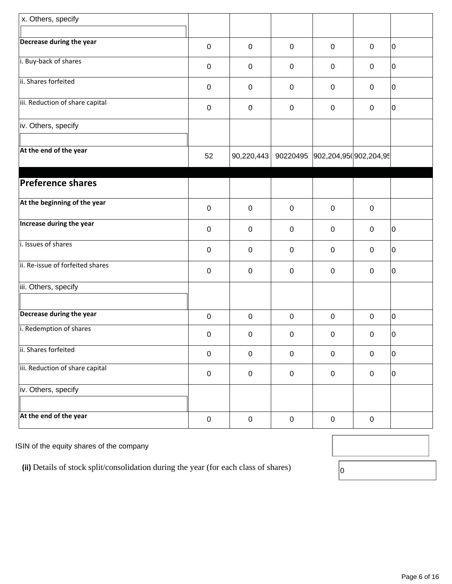| x. Others, specify               |                  |             |             |                                 |             |             |
|----------------------------------|------------------|-------------|-------------|---------------------------------|-------------|-------------|
| Decrease during the year         | $\boldsymbol{0}$ | $\mathbf 0$ | $\pmb{0}$   | $\boldsymbol{0}$                | $\mathbf 0$ | 10          |
| i. Buy-back of shares            | $\mathbf 0$      | $\mathbf 0$ | $\mathsf 0$ | 0                               | $\mathbf 0$ | $ 0\rangle$ |
| ii. Shares forfeited             | $\mathbf 0$      | $\mathbf 0$ | $\pmb{0}$   | 0                               | $\mathbf 0$ | 10          |
| iii. Reduction of share capital  | $\pmb{0}$        | $\pmb{0}$   | $\pmb{0}$   | $\boldsymbol{0}$                | $\mathbf 0$ | 10          |
| iv. Others, specify              |                  |             |             |                                 |             |             |
| At the end of the year           | 52               | 90,220,443  |             | 90220495 902,204,95(902,204,95) |             |             |
| <b>Preference shares</b>         |                  |             |             |                                 |             |             |
| At the beginning of the year     | $\boldsymbol{0}$ | $\mathbf 0$ | $\mathsf 0$ | $\pmb{0}$                       | $\mathbf 0$ |             |
| Increase during the year         | $\mathbf 0$      | 0           | $\mathsf 0$ | $\mathbf 0$                     | $\pmb{0}$   | 10          |
| i. Issues of shares              | $\pmb{0}$        | $\mathbf 0$ | $\mathsf 0$ | $\boldsymbol{0}$                | $\mathsf 0$ | 10          |
| ii. Re-issue of forfeited shares | $\boldsymbol{0}$ | $\pmb{0}$   | $\pmb{0}$   | 0                               | $\pmb{0}$   | 10          |
| iii. Others, specify             |                  |             |             |                                 |             |             |
| Decrease during the year         | $\pmb{0}$        | $\mathbf 0$ | $\pmb{0}$   | $\mathbf 0$                     | $\mathbf 0$ | 10          |
| i. Redemption of shares          | $\pmb{0}$        | $\pmb{0}$   | $\pmb{0}$   | 0                               | 0           | 10          |
| ii. Shares forfeited             | $\pmb{0}$        | $\pmb{0}$   | $\mathbf 0$ | $\pmb{0}$                       | $\pmb{0}$   | l0          |
| iii. Reduction of share capital  | $\pmb{0}$        | $\pmb{0}$   | $\pmb{0}$   | $\boldsymbol{0}$                | $\pmb{0}$   | 10          |
| iv. Others, specify              |                  |             |             |                                 |             |             |
| At the end of the year           | $\pmb{0}$        | $\pmb{0}$   | $\pmb{0}$   | $\pmb{0}$                       | $\pmb{0}$   |             |

ISIN of the equity shares of the company

(ii) Details of stock split/consolidation during the year (for each class of shares)  $\boxed{0}$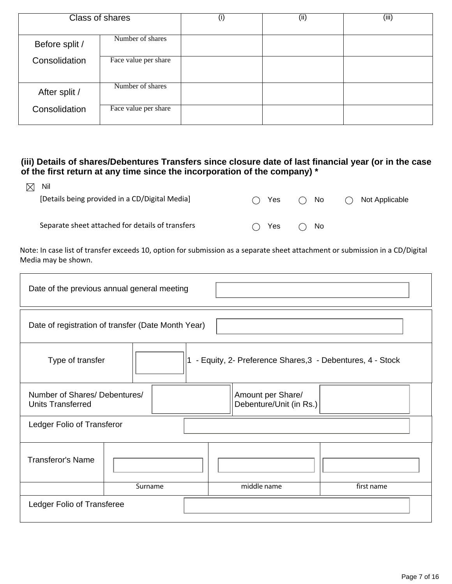| <b>Class of shares</b> |                      | $\left( 1\right)$ | (ii) | (iii) |
|------------------------|----------------------|-------------------|------|-------|
|                        |                      |                   |      |       |
| Before split /         | Number of shares     |                   |      |       |
| Consolidation          | Face value per share |                   |      |       |
| After split /          | Number of shares     |                   |      |       |
| Consolidation          | Face value per share |                   |      |       |

### **(iii) Details of shares/Debentures Transfers since closure date of last financial year (or in the case of the first return at any time since the incorporation of the company) \***

| $\boxtimes$ Nil                                  |   |               |              |   |                |
|--------------------------------------------------|---|---------------|--------------|---|----------------|
| [Details being provided in a CD/Digital Media]   |   | $\bigcap$ Yes | $\bigcap$ No | ( | Not Applicable |
|                                                  |   |               |              |   |                |
| Separate sheet attached for details of transfers | ( | <b>Yes</b>    | () No        |   |                |

Note: In case list of transfer exceeds 10, option for submission as a separate sheet attachment or submission in a CD/Digital Media may be shown.

| Date of the previous annual general meeting                                     |         |  |                                              |            |  |  |  |
|---------------------------------------------------------------------------------|---------|--|----------------------------------------------|------------|--|--|--|
| Date of registration of transfer (Date Month Year)                              |         |  |                                              |            |  |  |  |
| 1 - Equity, 2- Preference Shares, 3 - Debentures, 4 - Stock<br>Type of transfer |         |  |                                              |            |  |  |  |
| Number of Shares/ Debentures/<br><b>Units Transferred</b>                       |         |  | Amount per Share/<br>Debenture/Unit (in Rs.) |            |  |  |  |
| Ledger Folio of Transferor                                                      |         |  |                                              |            |  |  |  |
| <b>Transferor's Name</b>                                                        |         |  |                                              |            |  |  |  |
|                                                                                 | Surname |  | middle name                                  | first name |  |  |  |
| Ledger Folio of Transferee                                                      |         |  |                                              |            |  |  |  |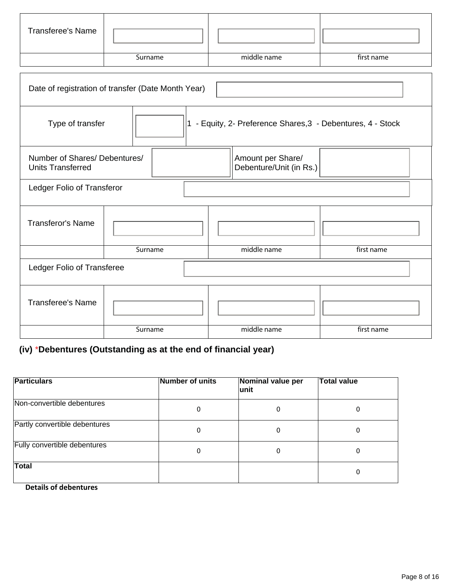| <b>Transferee's Name</b> |         |             |            |
|--------------------------|---------|-------------|------------|
|                          | Surname | middle name | first name |

| Date of registration of transfer (Date Month Year)        |                                              |  |             |                                                           |            |  |  |
|-----------------------------------------------------------|----------------------------------------------|--|-------------|-----------------------------------------------------------|------------|--|--|
| Type of transfer                                          | 1                                            |  |             | - Equity, 2- Preference Shares, 3 - Debentures, 4 - Stock |            |  |  |
| Number of Shares/ Debentures/<br><b>Units Transferred</b> | Amount per Share/<br>Debenture/Unit (in Rs.) |  |             |                                                           |            |  |  |
| Ledger Folio of Transferor                                |                                              |  |             |                                                           |            |  |  |
| <b>Transferor's Name</b>                                  |                                              |  |             |                                                           |            |  |  |
|                                                           | Surname                                      |  | middle name |                                                           | first name |  |  |
| Ledger Folio of Transferee                                |                                              |  |             |                                                           |            |  |  |
| <b>Transferee's Name</b>                                  |                                              |  |             |                                                           |            |  |  |
|                                                           | Surname                                      |  |             | middle name                                               | first name |  |  |

# **(iv)** \***Debentures (Outstanding as at the end of financial year)**

| <b>Particulars</b>            | Number of units | Nominal value per<br>lunit | <b>Total value</b> |
|-------------------------------|-----------------|----------------------------|--------------------|
| Non-convertible debentures    | 0               | 0                          | 0                  |
| Partly convertible debentures | 0               | 0                          | 0                  |
| Fully convertible debentures  | 0               | 0                          | 0                  |
| <b>Total</b>                  |                 |                            | 0                  |

 **Details of debentures**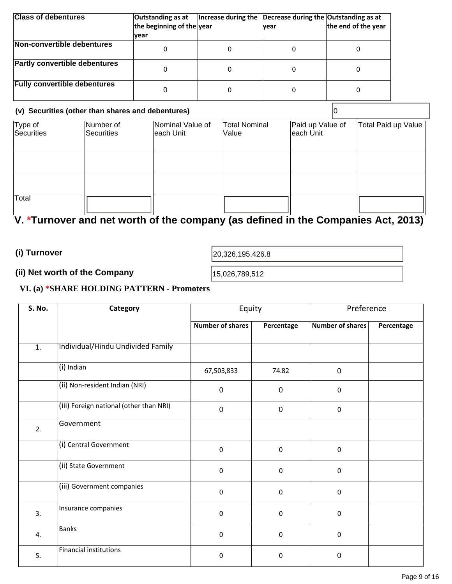| <b>Class of debentures</b>           | Outstanding as at<br>the beginning of the year | Increase during the | Decrease during the Outstanding as at<br>lvear | the end of the year |
|--------------------------------------|------------------------------------------------|---------------------|------------------------------------------------|---------------------|
|                                      | vear                                           |                     |                                                |                     |
| Non-convertible debentures           |                                                | 0                   |                                                |                     |
| <b>Partly convertible debentures</b> |                                                | 0                   |                                                | 0                   |
| <b>Fully convertible debentures</b>  |                                                | 0                   |                                                |                     |

| (v) Securities (other than shares and debentures) |                         |                                |                               |                               |                     |
|---------------------------------------------------|-------------------------|--------------------------------|-------------------------------|-------------------------------|---------------------|
| Type of<br>Securities                             | Number of<br>Securities | Nominal Value of<br>leach Unit | <b>Total Nominal</b><br>Value | Paid up Value of<br>each Unit | Total Paid up Value |
|                                                   |                         |                                |                               |                               |                     |
|                                                   |                         |                                |                               |                               |                     |
| Total                                             |                         |                                |                               |                               |                     |

# **V. \*Turnover and net worth of the company (as defined in the Companies Act, 2013)**

**(i) Turnover** 

20,326,195,426.8

# **(ii) Net worth of the Company 15,026,789,512**

### **VI. (a) \*SHARE HOLDING PATTERN - Promoters**

| <b>S. No.</b>    | Category                                | Equity                  |                  | Preference              |            |
|------------------|-----------------------------------------|-------------------------|------------------|-------------------------|------------|
|                  |                                         | <b>Number of shares</b> | Percentage       | <b>Number of shares</b> | Percentage |
| $\overline{1}$ . | Individual/Hindu Undivided Family       |                         |                  |                         |            |
|                  | (i) Indian                              | 67,503,833              | 74.82            | $\pmb{0}$               |            |
|                  | (ii) Non-resident Indian (NRI)          | $\mathbf 0$             | $\overline{0}$   | $\mathbf 0$             |            |
|                  | (iii) Foreign national (other than NRI) | $\boldsymbol{0}$        | $\boldsymbol{0}$ | $\pmb{0}$               |            |
| 2.               | Government                              |                         |                  |                         |            |
|                  | (i) Central Government                  | $\pmb{0}$               | $\pmb{0}$        | $\pmb{0}$               |            |
|                  | (ii) State Government                   | 0                       | $\pmb{0}$        | 0                       |            |
|                  | (iii) Government companies              | $\pmb{0}$               | $\pmb{0}$        | 0                       |            |
| 3.               | Insurance companies                     | $\pmb{0}$               | $\pmb{0}$        | $\pmb{0}$               |            |
| 4.               | <b>Banks</b>                            | $\pmb{0}$               | $\pmb{0}$        | $\pmb{0}$               |            |
| 5.               | <b>Financial institutions</b>           | 0                       | $\pmb{0}$        | 0                       |            |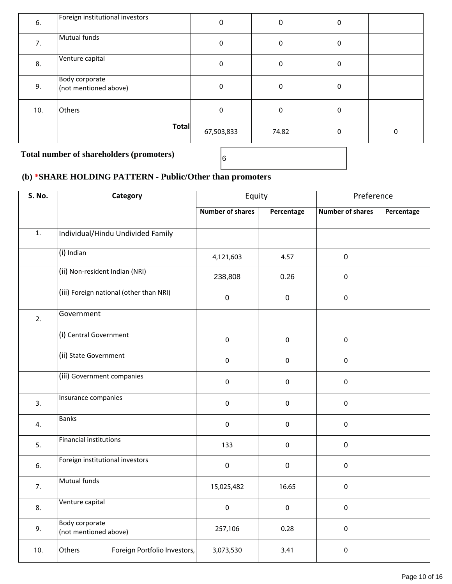| 6.  | Foreign institutional investors         | 0          | 0     | 0        |   |
|-----|-----------------------------------------|------------|-------|----------|---|
| 7.  | Mutual funds                            | 0          | 0     | 0        |   |
| 8.  | Venture capital                         | 0          | 0     | 0        |   |
| 9.  | Body corporate<br>(not mentioned above) | 0          | 0     | $\Omega$ |   |
| 10. | Others                                  | 0          | 0     | 0        |   |
|     | Total                                   | 67,503,833 | 74.82 | 0        | 0 |

**Total number of shareholders (promoters)** <sup>6</sup>

# **(b) \*SHARE HOLDING PATTERN - Public/Other than promoters**

| <b>S. No.</b>    | Category                                       |                         | Equity      |                         | Preference |
|------------------|------------------------------------------------|-------------------------|-------------|-------------------------|------------|
|                  |                                                | <b>Number of shares</b> | Percentage  | <b>Number of shares</b> | Percentage |
| $\overline{1}$ . | Individual/Hindu Undivided Family              |                         |             |                         |            |
|                  | $(i)$ Indian                                   | 4,121,603               | 4.57        | $\pmb{0}$               |            |
|                  | (ii) Non-resident Indian (NRI)                 | 238,808                 | 0.26        | $\mathbf 0$             |            |
|                  | (iii) Foreign national (other than NRI)        | $\mathbf 0$             | $\pmb{0}$   | $\pmb{0}$               |            |
| 2.               | Government                                     |                         |             |                         |            |
|                  | (i) Central Government                         | $\pmb{0}$               | $\pmb{0}$   | $\pmb{0}$               |            |
|                  | (ii) State Government                          | $\pmb{0}$               | $\pmb{0}$   | $\pmb{0}$               |            |
|                  | (iii) Government companies                     | $\pmb{0}$               | $\pmb{0}$   | $\pmb{0}$               |            |
| 3.               | Insurance companies                            | $\mathbf 0$             | $\pmb{0}$   | $\pmb{0}$               |            |
| 4.               | <b>Banks</b>                                   | $\pmb{0}$               | $\pmb{0}$   | $\pmb{0}$               |            |
| 5.               | <b>Financial institutions</b>                  | 133                     | $\pmb{0}$   | $\pmb{0}$               |            |
| 6.               | Foreign institutional investors                | $\mathbf 0$             | $\mathbf 0$ | $\mathbf 0$             |            |
| 7.               | <b>Mutual funds</b>                            | 15,025,482              | 16.65       | $\pmb{0}$               |            |
| 8.               | Venture capital                                | $\pmb{0}$               | 0           | $\pmb{0}$               |            |
| 9.               | <b>Body corporate</b><br>(not mentioned above) | 257,106                 | 0.28        | $\pmb{0}$               |            |
| 10.              | Others<br>Foreign Portfolio Investors,         | 3,073,530               | 3.41        | $\pmb{0}$               |            |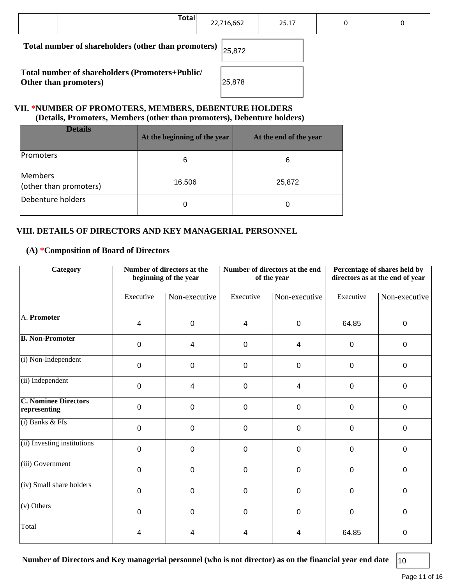| <b>Total</b>                                                             | 22,716,662 | 25.17 | 0 | 0 |
|--------------------------------------------------------------------------|------------|-------|---|---|
| Total number of shareholders (other than promoters)                      | 25,872     |       |   |   |
| Total number of shareholders (Promoters+Public/<br>Other than promoters) | 25,878     |       |   |   |

#### **VII. \*NUMBER OF PROMOTERS, MEMBERS, DEBENTURE HOLDERS (Details, Promoters, Members (other than promoters), Debenture holders)**

| <b>Details</b>                    | At the beginning of the year | At the end of the year |
|-----------------------------------|------------------------------|------------------------|
| Promoters                         | 6                            | 6                      |
| Members<br>(other than promoters) | 16,506                       | 25,872                 |
| Debenture holders                 | 0                            | 0                      |

#### **VIII. DETAILS OF DIRECTORS AND KEY MANAGERIAL PERSONNEL**

#### **(A) \*Composition of Board of Directors**

| Number of directors at the<br><b>Category</b><br>beginning of the year |                | Number of directors at the end<br>of the year |                |               | Percentage of shares held by<br>directors as at the end of year |               |
|------------------------------------------------------------------------|----------------|-----------------------------------------------|----------------|---------------|-----------------------------------------------------------------|---------------|
|                                                                        | Executive      | Non-executive                                 | Executive      | Non-executive | Executive                                                       | Non-executive |
| A. Promoter                                                            | 4              | $\mathbf 0$                                   | $\overline{4}$ | $\mathbf 0$   | 64.85                                                           | $\mathbf 0$   |
| <b>B. Non-Promoter</b>                                                 | $\mathbf 0$    | 4                                             | $\mathbf 0$    | 4             | $\boldsymbol{0}$                                                | $\mathbf 0$   |
| (i) Non-Independent                                                    | $\overline{0}$ | $\mathbf 0$                                   | $\mathbf 0$    | $\mathbf 0$   | 0                                                               | $\mathbf 0$   |
| (ii) Independent                                                       | $\mathbf 0$    | 4                                             | $\mathbf 0$    | 4             | 0                                                               | $\mathbf 0$   |
| <b>C. Nominee Directors</b><br>representing                            | $\mathbf 0$    | $\mathbf 0$                                   | $\mathbf 0$    | $\mathbf 0$   | 0                                                               | $\mathbf 0$   |
| $(i)$ Banks & FIs                                                      | $\mathbf 0$    | $\mathbf 0$                                   | $\mathbf 0$    | $\mathbf 0$   | 0                                                               | $\mathbf 0$   |
| (ii) Investing institutions                                            | $\mathbf 0$    | $\mathbf 0$                                   | $\mathbf 0$    | $\mathbf 0$   | 0                                                               | $\mathbf 0$   |
| (iii) Government                                                       | $\mathbf 0$    | $\mathbf 0$                                   | $\mathbf 0$    | $\mathbf 0$   | 0                                                               | $\mathbf{0}$  |
| (iv) Small share holders                                               | $\mathbf 0$    | $\mathbf 0$                                   | $\mathbf 0$    | $\mathbf 0$   | 0                                                               | 0             |
| $(v)$ Others                                                           | $\mathbf 0$    | $\mathbf 0$                                   | $\mathbf 0$    | $\mathbf 0$   | 0                                                               | $\mathbf 0$   |
| Total                                                                  | 4              | 4                                             | 4              | 4             | 64.85                                                           | $\mathbf 0$   |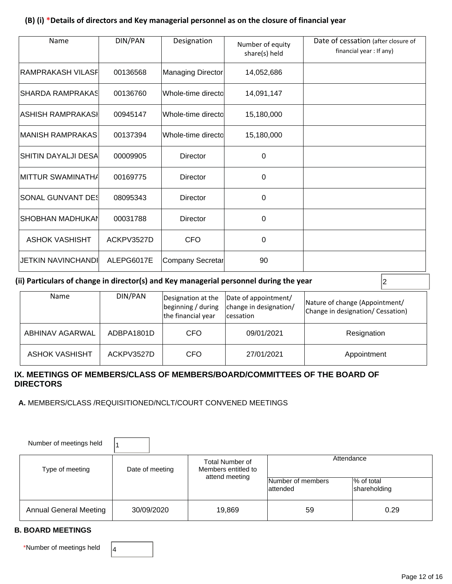#### **(B) (i) \*Details of directors and Key managerial personnel as on the closure of financial year**

| Name                     | DIN/PAN    | Designation        | Number of equity<br>share(s) held | Date of cessation (after closure of<br>financial year: If any) |
|--------------------------|------------|--------------------|-----------------------------------|----------------------------------------------------------------|
| RAMPRAKASH VILASF        | 00136568   | Managing Director  | 14,052,686                        |                                                                |
| SHARDA RAMPRAKAS         | 00136760   | Whole-time directo | 14,091,147                        |                                                                |
| IASHISH RAMPRAKASI       | 00945147   | Whole-time directo | 15,180,000                        |                                                                |
| IMANISH RAMPRAKAS        | 00137394   | Whole-time directo | 15,180,000                        |                                                                |
| SHITIN DAYALJI DESA      | 00009905   | <b>Director</b>    | 0                                 |                                                                |
| IMITTUR SWAMINATHA       | 00169775   | <b>Director</b>    | $\Omega$                          |                                                                |
| <b>SONAL GUNVANT DES</b> | 08095343   | Director           | 0                                 |                                                                |
| <b>SHOBHAN MADHUKAN</b>  | 00031788   | Director           | 0                                 |                                                                |
| <b>ASHOK VASHISHT</b>    | ACKPV3527D | <b>CFO</b>         | 0                                 |                                                                |
| JETKIN NAVINCHANDI       | ALEPG6017E | Company Secretar   | 90                                |                                                                |

#### (ii) Particulars of change in director(s) and Key managerial personnel during the year  $|_2$

| Name            | DIN/PAN    | Designation at the<br>beginning / during<br>the financial year | Date of appointment/<br>change in designation/<br>lcessation | Nature of change (Appointment/<br>Change in designation/ Cessation) |
|-----------------|------------|----------------------------------------------------------------|--------------------------------------------------------------|---------------------------------------------------------------------|
| ABHINAV AGARWAL | ADBPA1801D | CFO                                                            | 09/01/2021                                                   | Resignation                                                         |
| ASHOK VASHISHT  | ACKPV3527D | CFO                                                            | 27/01/2021                                                   | Appointment                                                         |

#### **IX. MEETINGS OF MEMBERS/CLASS OF MEMBERS/BOARD/COMMITTEES OF THE BOARD OF DIRECTORS**

 **A.** MEMBERS/CLASS /REQUISITIONED/NCLT/COURT CONVENED MEETINGS

| Number of meetings held       |                 |                                               |                               |                            |  |
|-------------------------------|-----------------|-----------------------------------------------|-------------------------------|----------------------------|--|
| Type of meeting               | Date of meeting | <b>Total Number of</b><br>Members entitled to | Attendance                    |                            |  |
|                               |                 | attend meeting                                | Number of members<br>attended | % of total<br>shareholding |  |
| <b>Annual General Meeting</b> | 30/09/2020      | 19,869                                        | 59                            | 0.29                       |  |

#### **B. BOARD MEETINGS**

\*Number of meetings held  $\begin{vmatrix} 4 \end{vmatrix}$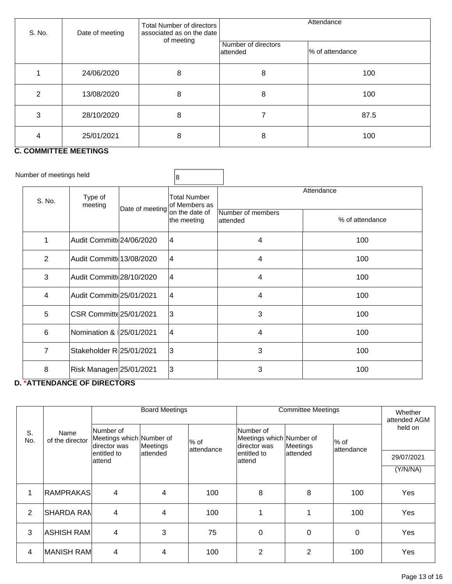| S. No.         | Date of meeting       | Total Number of directors<br>associated as on the date<br>of meeting | Attendance                      |                 |  |
|----------------|-----------------------|----------------------------------------------------------------------|---------------------------------|-----------------|--|
|                |                       |                                                                      | Number of directors<br>attended | % of attendance |  |
|                | 24/06/2020            | 8                                                                    | 8                               | 100             |  |
| $\overline{2}$ | 13/08/2020            | 8                                                                    | 8                               | 100             |  |
| 3              | 28/10/2020            | 8                                                                    |                                 | 87.5            |  |
|                | 25/01/2021<br>------- | 8                                                                    | 8                               | 100             |  |

#### **C. COMMITTEE MEETINGS**

| Number of meetings held |                           |                 | 8                             |                               |                 |  |
|-------------------------|---------------------------|-----------------|-------------------------------|-------------------------------|-----------------|--|
| S. No.                  | Type of<br>meeting        | Date of meeting | Total Number<br>of Members as | Attendance                    |                 |  |
|                         |                           |                 | on the date of<br>the meeting | Number of members<br>attended | % of attendance |  |
| 1                       | Audit Committ 24/06/2020  |                 | 14                            | 4                             | 100             |  |
| $\overline{2}$          | Audit Committe 13/08/2020 |                 | 4                             | 4                             | 100             |  |
| 3                       | Audit Committ 28/10/2020  |                 | 14                            | 4                             | 100             |  |
| 4                       | Audit Committ 25/01/2021  |                 | 14                            | 4                             | 100             |  |
| 5                       | CSR Committe 25/01/2021   |                 | 3                             | 3                             | 100             |  |
| 6                       | Nomination & 25/01/2021   |                 | 14                            | 4                             | 100             |  |
| $\overline{7}$          | Stakeholder R 25/01/2021  |                 | 3                             | 3                             | 100             |  |
| 8                       | Risk Managen 25/01/2021   |                 | 3                             | 3                             | 100             |  |

### **D. \*ATTENDANCE OF DIRECTORS**

|           |                         | <b>Board Meetings</b>                                                                                                                                                     |          |            | <b>Committee Meetings</b>           | Whether<br>attended AGM |          |            |
|-----------|-------------------------|---------------------------------------------------------------------------------------------------------------------------------------------------------------------------|----------|------------|-------------------------------------|-------------------------|----------|------------|
| S.<br>No. | Name<br>of the director | Number of<br>Number of<br>Meetings which Number of<br>Meetings which Number of<br>$\%$ of<br>$%$ of<br>director was<br>director was<br>Meetings<br>Meetings<br>attendance |          | attendance | held on                             |                         |          |            |
|           |                         | lentitled to<br>attend                                                                                                                                                    | attended |            | lattended<br>lentitled to<br>attend |                         |          | 29/07/2021 |
|           |                         |                                                                                                                                                                           |          |            |                                     |                         |          | (Y/N/NA)   |
|           |                         |                                                                                                                                                                           |          |            |                                     |                         |          |            |
| 1         | <b>RAMPRAKAS</b>        | 4                                                                                                                                                                         | 4        | 100        | 8                                   | 8                       | 100      | Yes        |
| 2         | <b>ISHARDA RAN</b>      | 4                                                                                                                                                                         | 4        | 100        |                                     |                         | 100      | Yes        |
| 3         | <b>ASHISH RAM</b>       | 4                                                                                                                                                                         | 3        | 75         | $\Omega$                            | 0                       | $\Omega$ | Yes        |
| 4         | MANISH RAM              | 4                                                                                                                                                                         | 4        | 100        | 2                                   | 2                       | 100      | Yes        |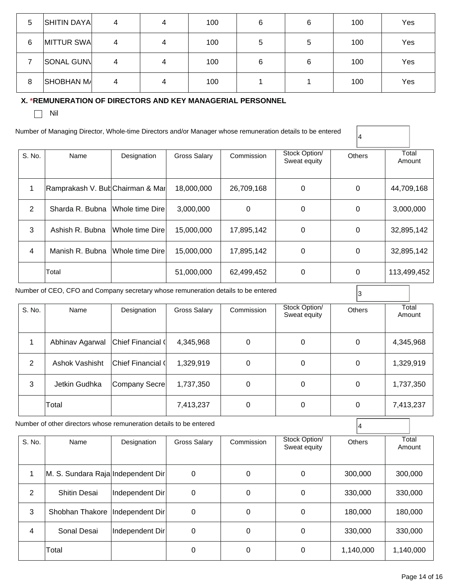| 5 | <b>SHITIN DAYA</b> | 4 | 4 | 100 | 6 | 6 | 100 | Yes |
|---|--------------------|---|---|-----|---|---|-----|-----|
| 6 | MITTUR SWA         | 4 | 4 | 100 | 5 | 5 | 100 | Yes |
|   | <b>SONAL GUNV</b>  | 4 | 4 | 100 | 6 | 6 | 100 | Yes |
| 8 | <b>SHOBHAN M/</b>  | 4 | 4 | 100 |   |   | 100 | Yes |

#### **X. \*REMUNERATION OF DIRECTORS AND KEY MANAGERIAL PERSONNEL**

 $\Box$  Nil

Number of Managing Director, Whole-time Directors and/or Manager whose remuneration details to be entered

| S. No. | Name                             | Designation      | Gross Salary | Commission | Stock Option/<br>Sweat equity | <b>Others</b> | Total<br>Amount |
|--------|----------------------------------|------------------|--------------|------------|-------------------------------|---------------|-----------------|
|        | Ramprakash V. But Chairman & Mar |                  | 18,000,000   | 26,709,168 | 0                             | 0             | 44,709,168      |
| 2      | Sharda R. Bubna                  | Whole time Dire  | 3,000,000    | 0          | 0                             | 0             | 3,000,000       |
| 3      | Ashish R. Bubna                  | Whole time Dire  | 15,000,000   | 17,895,142 | 0                             | $\Omega$      | 32,895,142      |
| 4      | Manish R. Bubna                  | Whole time Direl | 15,000,000   | 17,895,142 | 0                             | 0             | 32,895,142      |
|        | Total                            |                  | 51,000,000   | 62,499,452 | 0                             | 0             | 113,499,452     |

4

Number of CEO, CFO and Company secretary whose remuneration details to be entered  $\begin{bmatrix} 3 \end{bmatrix}$ S. No. Name Designation Gross Salary **Commission** Stock Option/ Sweat equity **Others Total** Amount 1 Abhinav Agarwal Chief Financial ( 4,345,968 | 0 | 0 | 0 | 4,345,968 2 | Ashok Vashisht | Chief Financial ( 1,329,919 | 0 | 0 | 0 | 0 | 1,329,919 3 | Jetkin Gudhka | Company Secre | 1,737,350 | 0 | 0 | 0 | 0 | 1,737,350 Total 7,413,237 0 0 7,413,237

Number of other directors whose remuneration details to be entered  $\begin{bmatrix} 4 & 4 \\ 4 & 4 \\ 4 & 4 \end{bmatrix}$ 

| S. No. | Name                               | Designation     | Gross Salary | Commission | Stock Option/<br>Sweat equity | <b>Others</b> | Total<br>Amount |
|--------|------------------------------------|-----------------|--------------|------------|-------------------------------|---------------|-----------------|
|        | M. S. Sundara Raja Independent Dir |                 | 0            | $\Omega$   | 0                             | 300,000       | 300,000         |
| 2      | <b>Shitin Desai</b>                | Independent Dir | 0            | 0          | 0                             | 330,000       | 330,000         |
| 3      | Shobhan Thakore   Independent Dir  |                 | 0            | 0          | 0                             | 180,000       | 180,000         |
| 4      | Sonal Desai                        | Independent Dir | 0            | 0          | $\Omega$                      | 330,000       | 330,000         |
|        | Total                              |                 | 0            | 0          | 0                             | 1,140,000     | 1,140,000       |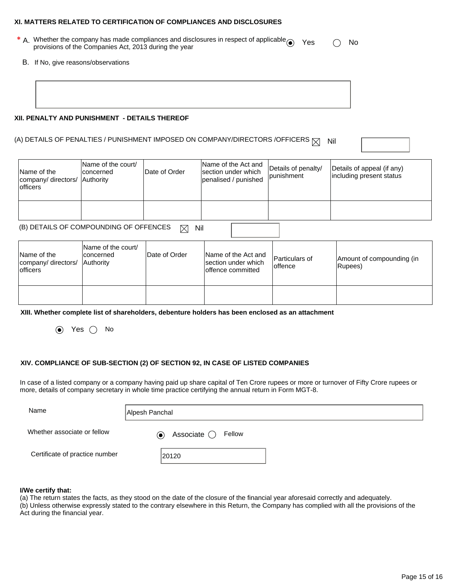#### **XI. MATTERS RELATED TO CERTIFICATION OF COMPLIANCES AND DISCLOSURES**

- \* A. Whether the company has made compliances and disclosures in respect of applicable  $\odot$  Yes  $\odot$  No<br>provisions of the Companies Act, 2013 during the year
	- B. If No, give reasons/observations

| XII. PENALTY AND PUNISHMENT - DETAILS THEREOF |  |  |  |
|-----------------------------------------------|--|--|--|

## (A) DETAILS OF PENALTIES / PUNISHMENT IMPOSED ON COMPANY/DIRECTORS /OFFICERS  $\boxtimes$  Nil

Name of the company/ directors/ officers Name of the court/ concerned **Authority** Date of Order Name of the Act and section under which penalised / punished Details of penalty/ punishment Details of appeal (if any) including present status

(B) DETAILS OF COMPOUNDING OF OFFENCES  $\boxtimes$  Nil

| Name of the<br>company/ directors/<br><b>lofficers</b> | Name of the court/<br>Iconcerned<br><b>Authority</b> | Date of Order | Name of the Act and<br>section under which<br>offence committed | Particulars of<br>loffence | Amount of compounding (in<br>Rupees) |
|--------------------------------------------------------|------------------------------------------------------|---------------|-----------------------------------------------------------------|----------------------------|--------------------------------------|
|                                                        |                                                      |               |                                                                 |                            |                                      |

**XIII. Whether complete list of shareholders, debenture holders has been enclosed as an attachment** 

 $\odot$  Yes  $\odot$  No

#### **XIV. COMPLIANCE OF SUB-SECTION (2) OF SECTION 92, IN CASE OF LISTED COMPANIES**

In case of a listed company or a company having paid up share capital of Ten Crore rupees or more or turnover of Fifty Crore rupees or more, details of company secretary in whole time practice certifying the annual return in Form MGT-8.

| Name                           | Alpesh Panchal                    |
|--------------------------------|-----------------------------------|
| Whether associate or fellow    | Associate $\bigcirc$ Fellow<br>◉. |
| Certificate of practice number | 20120                             |

#### **I/We certify that:**

(a) The return states the facts, as they stood on the date of the closure of the financial year aforesaid correctly and adequately.

(b) Unless otherwise expressly stated to the contrary elsewhere in this Return, the Company has complied with all the provisions of the Act during the financial year.